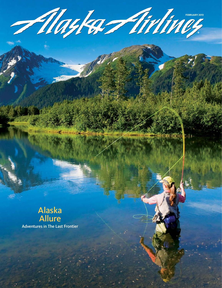

Fillagler - Arthuey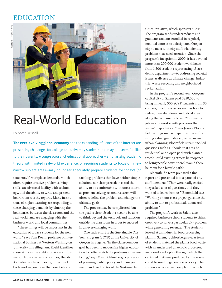## EDUCATION



## Real-World Education

By Scott Driscoll

**The ever-evolving global economy** and the expanding influence of the Internet are presenting challenges for college and university students that may not seem familiar to their parents. Long-sacrosanct educational approaches—emphasizing academic theory with limited real-world experience, or requiring students to focus on a few narrow subject areas—may no longer adequately prepare students for today's (or

tomorrow's) workplace demands, which often require creative problem-solving skills, an advanced facility with technology, and the ability to write and present boardroom-worthy reports. Many institutions of higher learning are responding to these changing demands by blurring the boundaries between the classroom and the real world, and are engaging with the business world and local communities.

"Three things will be important in the education of today's students for the new world," says Tom Roehl, professor of international business at Western Washington University in Bellingham. Roehl identifies these skills as the ability to process information from a variety of sources; the ability to deal with complexity, in terms of both working on more than one task and

tackling problems that have neither simple solutions nor clear precedents; and the ability to be comfortable with uncertainty, as problem-solving-related research will often redefine the problem and change the ultimate goals.

The process may be complicated, but the goal is clear: Students need to be able to think beyond the textbook and function outside the classroom in order to succeed in an ever-changing world.

One such effort is the Sustainable City Year Program (SCYP) at the University of Oregon in Eugene. "In the classroom, our goal has been to modernize higher education to better match the problems cities are facing," says Marc Schlossberg, a professor of planning, public policy and management, and co-director of the Sustainable

Cities Initiative, which sponsors SCYP. The program sends undergraduate and graduate students enrolled in regularly credited courses to a designated Oregon city to meet with city staff who identify problems that need attention. Since the program's inception in 2009, it has devoted more than 200,000 student work hours from 1,300 students representing 13 academic departments—to addressing societal issues as diverse as climate change, industrial waste recycling and neighborhood revitalization.

In the program's second year, Oregon's capital city of Salem paid \$350,000 to bring in nearly 500 SCYP students from 30 courses, to address issues such as how to redesign an abandoned industrial area along the Willamette River. "Our team's job was to wrestle with problems that weren't hypothetical," says Jessica Bloomfield, a program participant who was finishing a dual graduate degree in law and urban planning. Bloomfield's team tackled questions such as, Should that area be residential or an open park with planted trees? Could existing streets be reopened to bring people down there? Would there be room for a bicycle path?

Bloomfield's team prepared a final report and presented it to a panel of city staff members. "They were really excited they asked a lot of questions, and they wanted to learn from us," Bloomfield says. "Working on our class project gave me the ability to talk to professionals about real problems."

The program's work in Salem also required business-school students to think creatively to solve a particular city problem while generating revenue. "The students looked at an industrial food-processing plant in Salem," Schlossberg says. A team of students matched the plant's food waste with an underused anaerobic processor, and developed a plan through which the captured methane produced by the waste could be used to generate electricity. The students wrote a business plan in which